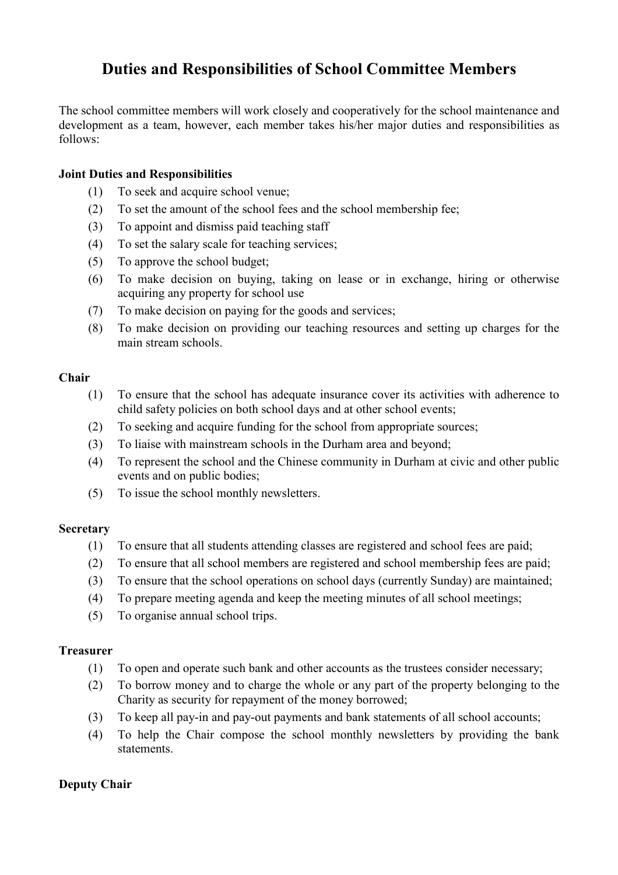# **Duties and Responsibilities of School Committee Members**

The school committee members will work closely and cooperatively for the school maintenance and development as a team, however, each member takes his/her major duties and responsibilities as follows:

# **Joint Duties and Responsibilities**

- (1) To seek and acquire school venue;
- (2) To set the amount of the school fees and the school membership fee;
- (3) To appoint and dismiss paid teaching staff
- (4) To set the salary scale for teaching services;
- (5) To approve the school budget;
- (6) To make decision on buying, taking on lease or in exchange, hiring or otherwise acquiring any property for school use
- (7) To make decision on paying for the goods and services;
- (8) To make decision on providing our teaching resources and setting up charges for the main stream schools.

### **Chair**

- (1) To ensure that the school has adequate insurance cover its activities with adherence to child safety policies on both school days and at other school events;
- (2) To seeking and acquire funding for the school from appropriate sources;
- (3) To liaise with mainstream schools in the Durham area and beyond;
- (4) To represent the school and the Chinese community in Durham at civic and other public events and on public bodies;
- (5) To issue the school monthly newsletters.

## **Secretary**

- (1) To ensure that all students attending classes are registered and school fees are paid;
- (2) To ensure that all school members are registered and school membership fees are paid;
- (3) To ensure that the school operations on school days (currently Sunday) are maintained;
- (4) To prepare meeting agenda and keep the meeting minutes of all school meetings;
- (5) To organise annual school trips.

### **Treasurer**

- (1) To open and operate such bank and other accounts as the trustees consider necessary;
- (2) To borrow money and to charge the whole or any part of the property belonging to the Charity as security for repayment of the money borrowed;
- (3) To keep all pay-in and pay-out payments and bank statements of all school accounts;
- (4) To help the Chair compose the school monthly newsletters by providing the bank statements.

# **Deputy Chair**